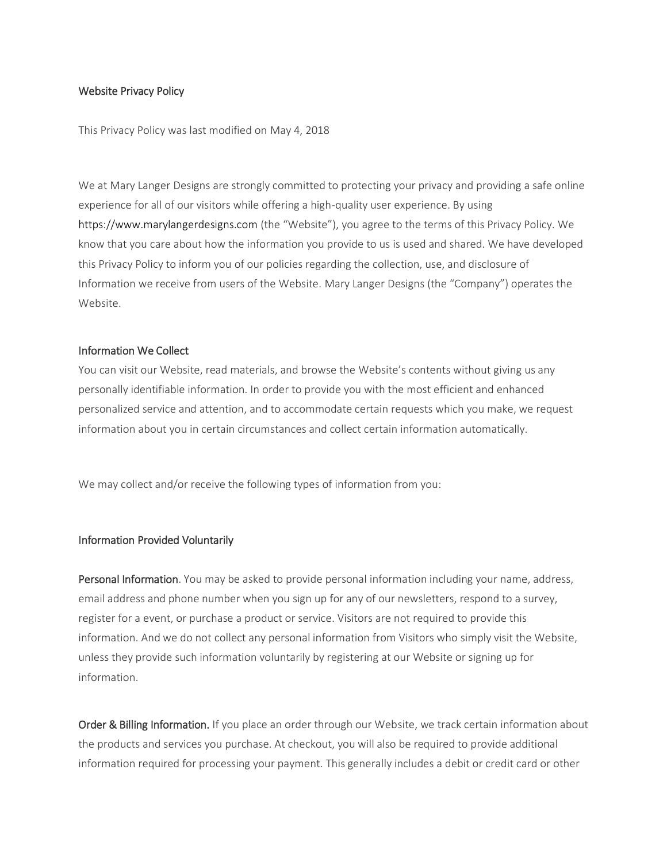## Website Privacy Policy

This Privacy Policy was last modified on May 4, 2018

We at Mary Langer Designs are strongly committed to protecting your privacy and providing a safe online experience for all of our visitors while offering a high-quality user experience. By using https://www.marylangerdesigns.com (the "Website"), you agree to the terms of this Privacy Policy. We know that you care about how the information you provide to us is used and shared. We have developed this Privacy Policy to inform you of our policies regarding the collection, use, and disclosure of Information we receive from users of the Website. Mary Langer Designs (the "Company") operates the Website.

## Information We Collect

You can visit our Website, read materials, and browse the Website's contents without giving us any personally identifiable information. In order to provide you with the most efficient and enhanced personalized service and attention, and to accommodate certain requests which you make, we request information about you in certain circumstances and collect certain information automatically.

We may collect and/or receive the following types of information from you:

## Information Provided Voluntarily

Personal Information. You may be asked to provide personal information including your name, address, email address and phone number when you sign up for any of our newsletters, respond to a survey, register for a event, or purchase a product or service. Visitors are not required to provide this information. And we do not collect any personal information from Visitors who simply visit the Website, unless they provide such information voluntarily by registering at our Website or signing up for information.

Order & Billing Information. If you place an order through our Website, we track certain information about the products and services you purchase. At checkout, you will also be required to provide additional information required for processing your payment. This generally includes a debit or credit card or other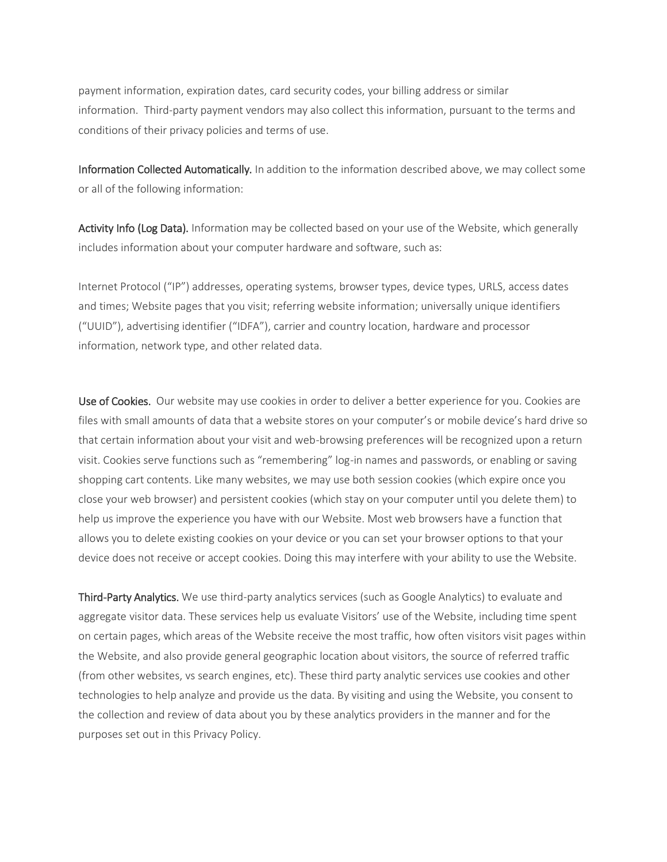payment information, expiration dates, card security codes, your billing address or similar information. Third-party payment vendors may also collect this information, pursuant to the terms and conditions of their privacy policies and terms of use.

Information Collected Automatically. In addition to the information described above, we may collect some or all of the following information:

Activity Info (Log Data). Information may be collected based on your use of the Website, which generally includes information about your computer hardware and software, such as:

Internet Protocol ("IP") addresses, operating systems, browser types, device types, URLS, access dates and times; Website pages that you visit; referring website information; universally unique identifiers ("UUID"), advertising identifier ("IDFA"), carrier and country location, hardware and processor information, network type, and other related data.

Use of Cookies. Our website may use cookies in order to deliver a better experience for you. Cookies are files with small amounts of data that a website stores on your computer's or mobile device's hard drive so that certain information about your visit and web-browsing preferences will be recognized upon a return visit. Cookies serve functions such as "remembering" log-in names and passwords, or enabling or saving shopping cart contents. Like many websites, we may use both session cookies (which expire once you close your web browser) and persistent cookies (which stay on your computer until you delete them) to help us improve the experience you have with our Website. Most web browsers have a function that allows you to delete existing cookies on your device or you can set your browser options to that your device does not receive or accept cookies. Doing this may interfere with your ability to use the Website.

Third-Party Analytics. We use third-party analytics services (such as Google Analytics) to evaluate and aggregate visitor data. These services help us evaluate Visitors' use of the Website, including time spent on certain pages, which areas of the Website receive the most traffic, how often visitors visit pages within the Website, and also provide general geographic location about visitors, the source of referred traffic (from other websites, vs search engines, etc). These third party analytic services use cookies and other technologies to help analyze and provide us the data. By visiting and using the Website, you consent to the collection and review of data about you by these analytics providers in the manner and for the purposes set out in this Privacy Policy.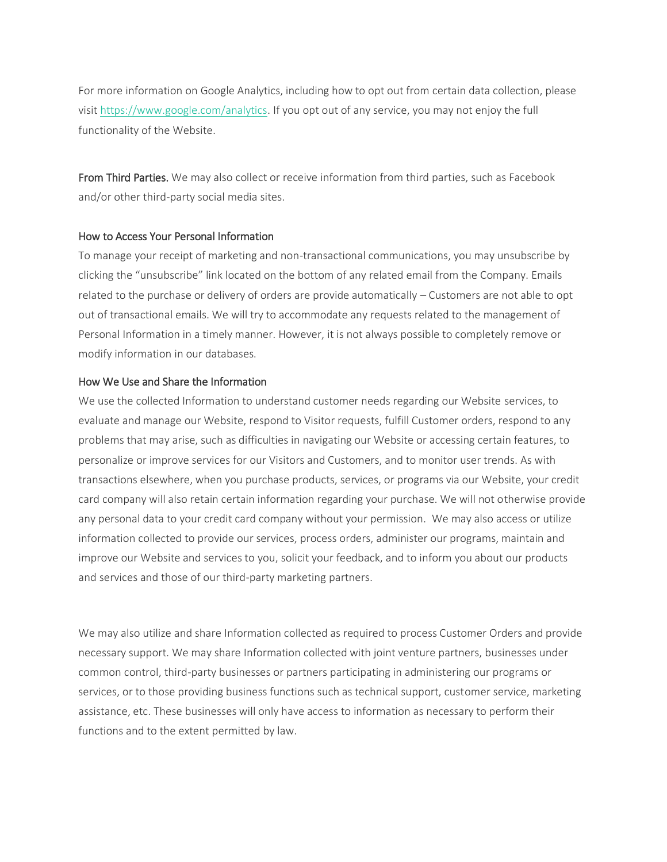For more information on Google Analytics, including how to opt out from certain data collection, please visit [https://www.google.com/analytics.](https://www.google.com/analytics) If you opt out of any service, you may not enjoy the full functionality of the Website.

From Third Parties. We may also collect or receive information from third parties, such as Facebook and/or other third-party social media sites.

# How to Access Your Personal Information

To manage your receipt of marketing and non-transactional communications, you may unsubscribe by clicking the "unsubscribe" link located on the bottom of any related email from the Company. Emails related to the purchase or delivery of orders are provide automatically – Customers are not able to opt out of transactional emails. We will try to accommodate any requests related to the management of Personal Information in a timely manner. However, it is not always possible to completely remove or modify information in our databases.

# How We Use and Share the Information

We use the collected Information to understand customer needs regarding our Website services, to evaluate and manage our Website, respond to Visitor requests, fulfill Customer orders, respond to any problems that may arise, such as difficulties in navigating our Website or accessing certain features, to personalize or improve services for our Visitors and Customers, and to monitor user trends. As with transactions elsewhere, when you purchase products, services, or programs via our Website, your credit card company will also retain certain information regarding your purchase. We will not otherwise provide any personal data to your credit card company without your permission. We may also access or utilize information collected to provide our services, process orders, administer our programs, maintain and improve our Website and services to you, solicit your feedback, and to inform you about our products and services and those of our third-party marketing partners.

We may also utilize and share Information collected as required to process Customer Orders and provide necessary support. We may share Information collected with joint venture partners, businesses under common control, third-party businesses or partners participating in administering our programs or services, or to those providing business functions such as technical support, customer service, marketing assistance, etc. These businesses will only have access to information as necessary to perform their functions and to the extent permitted by law.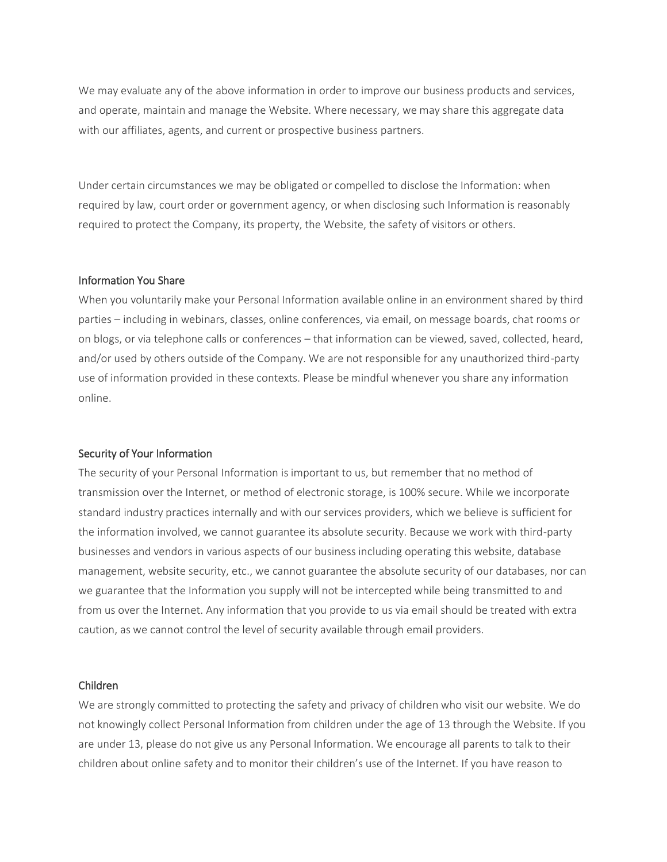We may evaluate any of the above information in order to improve our business products and services, and operate, maintain and manage the Website. Where necessary, we may share this aggregate data with our affiliates, agents, and current or prospective business partners.

Under certain circumstances we may be obligated or compelled to disclose the Information: when required by law, court order or government agency, or when disclosing such Information is reasonably required to protect the Company, its property, the Website, the safety of visitors or others.

## Information You Share

When you voluntarily make your Personal Information available online in an environment shared by third parties – including in webinars, classes, online conferences, via email, on message boards, chat rooms or on blogs, or via telephone calls or conferences – that information can be viewed, saved, collected, heard, and/or used by others outside of the Company. We are not responsible for any unauthorized third-party use of information provided in these contexts. Please be mindful whenever you share any information online.

## Security of Your Information

The security of your Personal Information is important to us, but remember that no method of transmission over the Internet, or method of electronic storage, is 100% secure. While we incorporate standard industry practices internally and with our services providers, which we believe is sufficient for the information involved, we cannot guarantee its absolute security. Because we work with third-party businesses and vendors in various aspects of our business including operating this website, database management, website security, etc., we cannot guarantee the absolute security of our databases, nor can we guarantee that the Information you supply will not be intercepted while being transmitted to and from us over the Internet. Any information that you provide to us via email should be treated with extra caution, as we cannot control the level of security available through email providers.

#### Children

We are strongly committed to protecting the safety and privacy of children who visit our website. We do not knowingly collect Personal Information from children under the age of 13 through the Website. If you are under 13, please do not give us any Personal Information. We encourage all parents to talk to their children about online safety and to monitor their children's use of the Internet. If you have reason to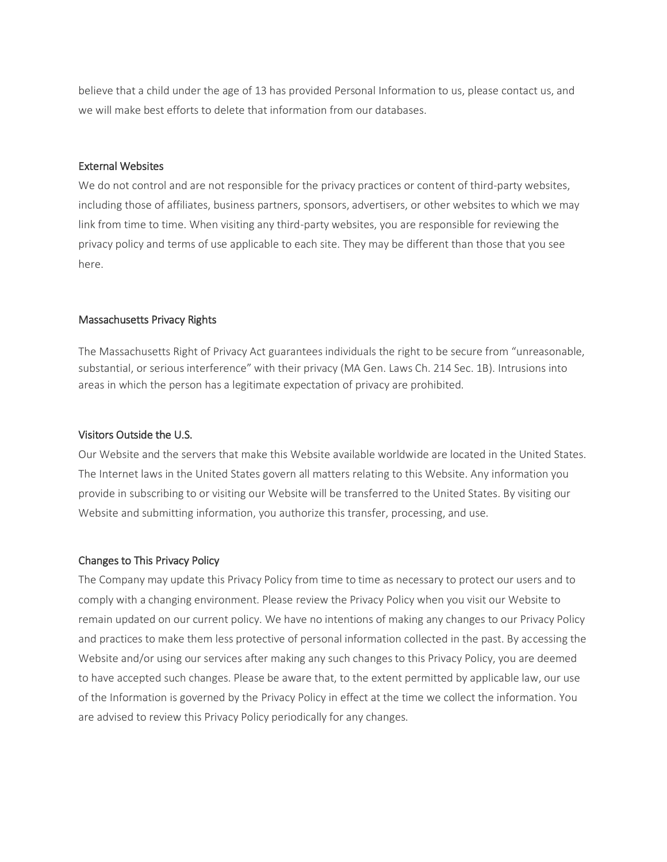believe that a child under the age of 13 has provided Personal Information to us, please contact us, and we will make best efforts to delete that information from our databases.

## External Websites

We do not control and are not responsible for the privacy practices or content of third-party websites, including those of affiliates, business partners, sponsors, advertisers, or other websites to which we may link from time to time. When visiting any third-party websites, you are responsible for reviewing the privacy policy and terms of use applicable to each site. They may be different than those that you see here.

# Massachusetts Privacy Rights

The Massachusetts Right of Privacy Act guarantees individuals the right to be secure from "unreasonable, substantial, or serious interference" with their privacy (MA Gen. Laws Ch. 214 Sec. 1B). Intrusions into areas in which the person has a legitimate expectation of privacy are prohibited.

# Visitors Outside the U.S.

Our Website and the servers that make this Website available worldwide are located in the United States. The Internet laws in the United States govern all matters relating to this Website. Any information you provide in subscribing to or visiting our Website will be transferred to the United States. By visiting our Website and submitting information, you authorize this transfer, processing, and use.

# Changes to This Privacy Policy

The Company may update this Privacy Policy from time to time as necessary to protect our users and to comply with a changing environment. Please review the Privacy Policy when you visit our Website to remain updated on our current policy. We have no intentions of making any changes to our Privacy Policy and practices to make them less protective of personal information collected in the past. By accessing the Website and/or using our services after making any such changes to this Privacy Policy, you are deemed to have accepted such changes. Please be aware that, to the extent permitted by applicable law, our use of the Information is governed by the Privacy Policy in effect at the time we collect the information. You are advised to review this Privacy Policy periodically for any changes.